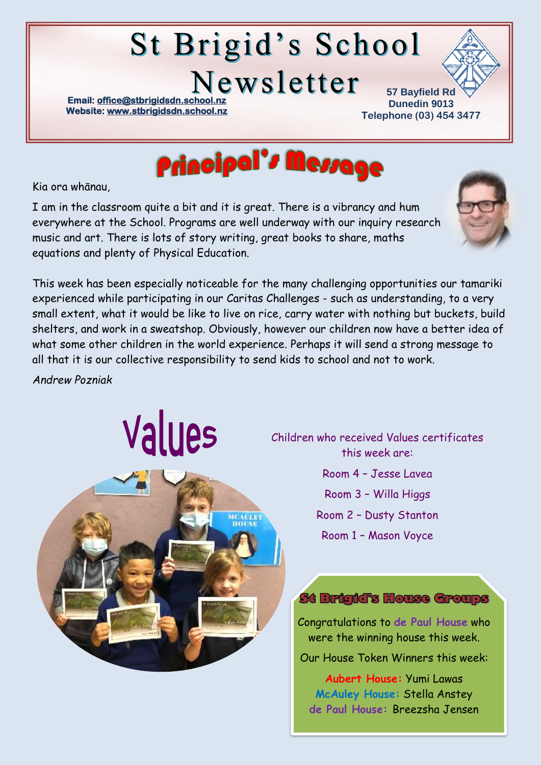# **St Brigid's School**

Newsletter

**Email: office@stbrigidsdn.school Website[: www.stbrigidsdn.school.nz](http://www.stbrigidsdn.school.nz/)** 

**57 Bayfield Rd Dunedin 9013 Telephone (03) 454 3477** 



Kia ora whānau,

I am in the classroom quite a bit and it is great. There is a vibrancy and hum everywhere at the School. Programs are well underway with our inquiry research music and art. There is lots of story writing, great books to share, maths equations and plenty of Physical Education.



This week has been especially noticeable for the many challenging opportunities our tamariki experienced while participating in our Caritas Challenges - such as understanding, to a very small extent, what it would be like to live on rice, carry water with nothing but buckets, build shelters, and work in a sweatshop. Obviously, however our children now have a better idea of what some other children in the world experience. Perhaps it will send a strong message to all that it is our collective responsibility to send kids to school and not to work.

*Andrew Pozniak*

Values



Children who received Values certificates this week are:

- Room 4 Jesse Lavea
- Room 3 Willa Higgs
- Room 2 Dusty Stanton
- Room 1 Mason Voyce

#### St Brigid's House Groups

Congratulations to **de Paul House** who were the winning house this week.

Our House Token Winners this week:

**Aubert House:** Yumi Lawas **McAuley House:** Stella Anstey **de Paul House:** Breezsha Jensen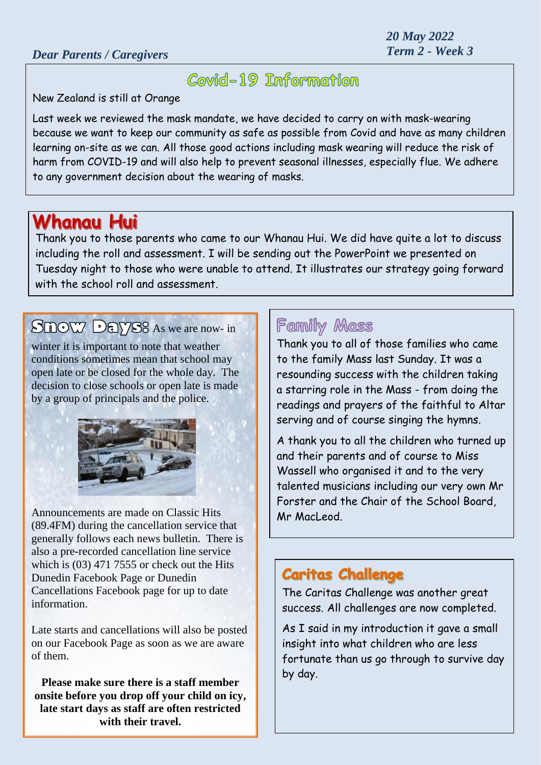*20 May 2022*

# Covid-19 Information

New Zealand is still at Orange

Last week we reviewed the mask mandate, we have decided to carry on with mask-wearing because we want to keep our community as safe as possible from Covid and have as many children learning on-site as we can. All those good actions including mask wearing will reduce the risk of harm from COVID-19 and will also help to prevent seasonal illnesses, especially flue. We adhere to any government decision about the wearing of masks.

## **Whanau Hui**

Thank you to those parents who came to our Whanau Hui. We did have quite a lot to discuss including the roll and assessment. I will be sending out the PowerPoint we presented on Tuesday night to those who were unable to attend. It illustrates our strategy going forward with the school roll and assessment

## Snow Days<sup>8</sup> As we are now- in

winter it is important to note that weather conditions sometimes mean that school may open late or be closed for the whole day. The decision to close schools or open late is made by a group of principals and the police.



Announcements are made on Classic Hits (89.4FM) during the cancellation service that generally follows each news bulletin. There is also a pre-recorded cancellation line service which is (03) 471 7555 or check out the Hits Dunedin Facebook Page or Dunedin Cancellations Facebook page for up to date information.

Late starts and cancellations will also be posted on our Facebook Page as soon as we are aware of them.

**Please make sure there is a staff member onsite before you drop off your child on icy, late start days as staff are often restricted with their travel.**

### **Family Mass**

Thank you to all of those families who came to the family Mass last Sunday. It was a resounding success with the children taking a starring role in the Mass - from doing the readings and prayers of the faithful to Altar serving and of course singing the hymns.

A thank you to all the children who turned up and their parents and of course to Miss Wassell who organised it and to the very talented musicians including our very own Mr Forster and the Chair of the School Board, Mr MacLeod.

### **Caritas Challenge**

The Caritas Challenge was another great success. All challenges are now completed.

As I said in my introduction it gave a small insight into what children who are less fortunate than us go through to survive day by day.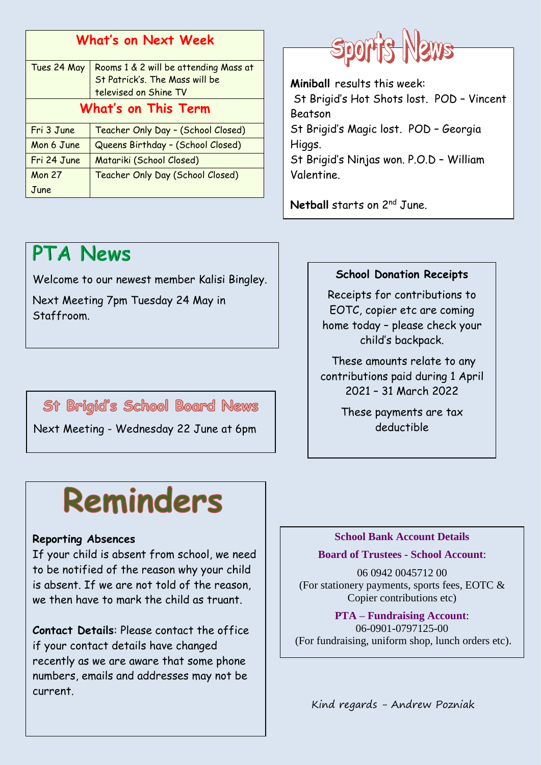| <b>What's on Next Week</b> |                                                     |
|----------------------------|-----------------------------------------------------|
|                            | Tues 24 May   Rooms 1 & 2 will be attending Mass at |
|                            | St Patrick's. The Mass will be                      |
|                            | televised on Shine TV                               |
| What's on This Term        |                                                     |
| Fri 3 June                 | Teacher Only Day - (School Closed)                  |
| Mon 6 June                 | Queens Birthday - (School Closed)                   |
| Fri 24 June                | Matariki (School Closed)                            |
| <b>Mon 27</b>              | Teacher Only Day (School Closed)                    |
| June                       |                                                     |



Welcome to our newest member Kalisi Bingley.

Next Meeting 7pm Tuesday 24 May in Staffroom.

St Brigid's School Board News

Next Meeting - Wednesday 22 June at 6pm

# Sport's News

**Miniball** results this week: St Brigid's Hot Shots lost. POD – Vincent Beatson St Brigid's Magic lost. POD – Georgia Higgs. St Brigid's Ninjas won. P.O.D – William Valentine.

**Netball** starts on 2<sup>nd</sup> June.

#### **School Donation Receipts**

Receipts for contributions to EOTC, copier etc are coming home today – please check your child's backpack.

These amounts relate to any contributions paid during 1 April 2021 – 31 March 2022

> These payments are tax deductible

# Reminders

#### **Reporting Absences**

If your child is absent from school, we need to be notified of the reason why your child is absent. If we are not told of the reason, we then have to mark the child as truant.

**Contact Details**: Please contact the office if your contact details have changed recently as we are aware that some phone numbers, emails and addresses may not be current.

#### **School Bank Account Details**

#### **Board of Trustees - School Account**:

06 0942 0045712 00 (For stationery payments, sports fees, EOTC & Copier contributions etc)

**PTA – Fundraising Account**: 06-0901-0797125-00 (For fundraising, uniform shop, lunch orders etc).

Kind regards - Andrew Pozniak